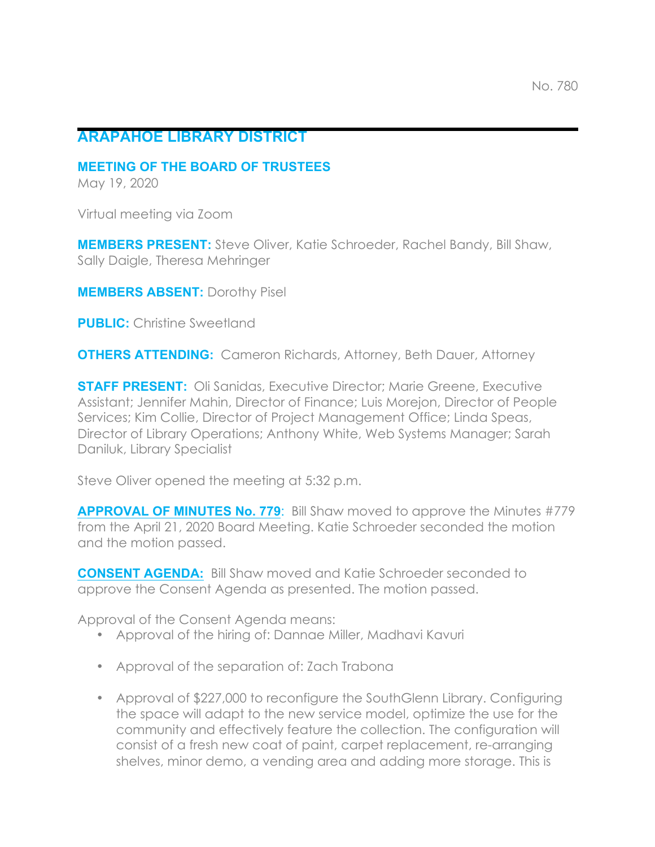## **ARAPAHOE LIBRARY DISTRICT**

## **MEETING OF THE BOARD OF TRUSTEES**

May 19, 2020

Virtual meeting via Zoom

**MEMBERS PRESENT:** Steve Oliver, Katie Schroeder, Rachel Bandy, Bill Shaw, Sally Daigle, Theresa Mehringer

**MEMBERS ABSENT:** Dorothy Pisel

**PUBLIC:** Christine Sweetland

**OTHERS ATTENDING:** Cameron Richards, Attorney, Beth Dauer, Attorney

**STAFF PRESENT:** Oli Sanidas, Executive Director; Marie Greene, Executive Assistant; Jennifer Mahin, Director of Finance; Luis Morejon, Director of People Services; Kim Collie, Director of Project Management Office; Linda Speas, Director of Library Operations; Anthony White, Web Systems Manager; Sarah Daniluk, Library Specialist

Steve Oliver opened the meeting at 5:32 p.m.

**APPROVAL OF MINUTES No. 779**: Bill Shaw moved to approve the Minutes #779 from the April 21, 2020 Board Meeting. Katie Schroeder seconded the motion and the motion passed.

**CONSENT AGENDA:** Bill Shaw moved and Katie Schroeder seconded to approve the Consent Agenda as presented. The motion passed.

Approval of the Consent Agenda means:

- Approval of the hiring of: Dannae Miller, Madhavi Kavuri
- Approval of the separation of: Zach Trabona
- Approval of \$227,000 to reconfigure the SouthGlenn Library. Configuring the space will adapt to the new service model, optimize the use for the community and effectively feature the collection. The configuration will consist of a fresh new coat of paint, carpet replacement, re-arranging shelves, minor demo, a vending area and adding more storage. This is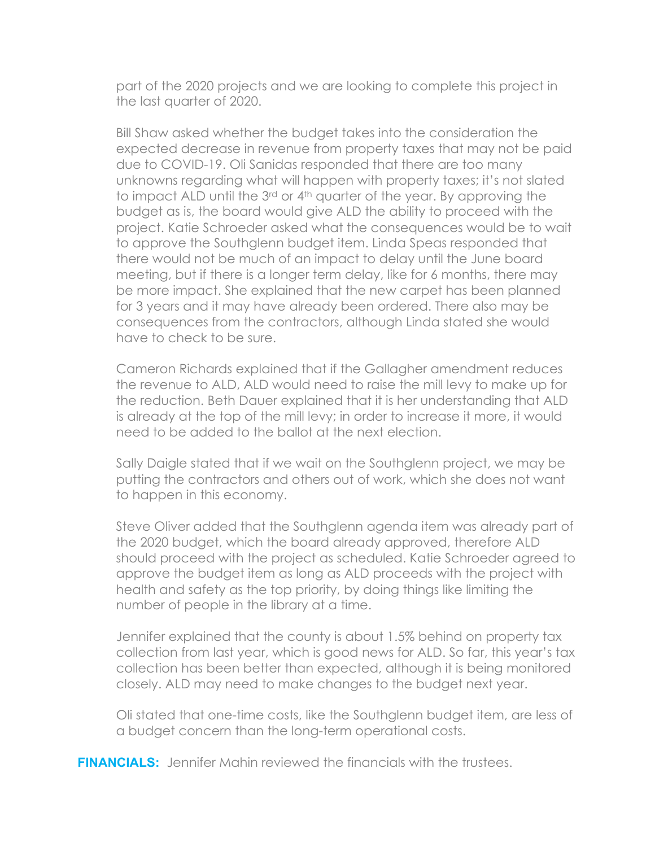part of the 2020 projects and we are looking to complete this project in the last quarter of 2020.

Bill Shaw asked whether the budget takes into the consideration the expected decrease in revenue from property taxes that may not be paid due to COVID-19. Oli Sanidas responded that there are too many unknowns regarding what will happen with property taxes; it's not slated to impact ALD until the 3rd or 4th quarter of the year. By approving the budget as is, the board would give ALD the ability to proceed with the project. Katie Schroeder asked what the consequences would be to wait to approve the Southglenn budget item. Linda Speas responded that there would not be much of an impact to delay until the June board meeting, but if there is a longer term delay, like for 6 months, there may be more impact. She explained that the new carpet has been planned for 3 years and it may have already been ordered. There also may be consequences from the contractors, although Linda stated she would have to check to be sure.

Cameron Richards explained that if the Gallagher amendment reduces the revenue to ALD, ALD would need to raise the mill levy to make up for the reduction. Beth Dauer explained that it is her understanding that ALD is already at the top of the mill levy; in order to increase it more, it would need to be added to the ballot at the next election.

Sally Daigle stated that if we wait on the Southglenn project, we may be putting the contractors and others out of work, which she does not want to happen in this economy.

Steve Oliver added that the Southglenn agenda item was already part of the 2020 budget, which the board already approved, therefore ALD should proceed with the project as scheduled. Katie Schroeder agreed to approve the budget item as long as ALD proceeds with the project with health and safety as the top priority, by doing things like limiting the number of people in the library at a time.

Jennifer explained that the county is about 1.5% behind on property tax collection from last year, which is good news for ALD. So far, this year's tax collection has been better than expected, although it is being monitored closely. ALD may need to make changes to the budget next year.

Oli stated that one-time costs, like the Southglenn budget item, are less of a budget concern than the long-term operational costs.

**FINANCIALS:** Jennifer Mahin reviewed the financials with the trustees.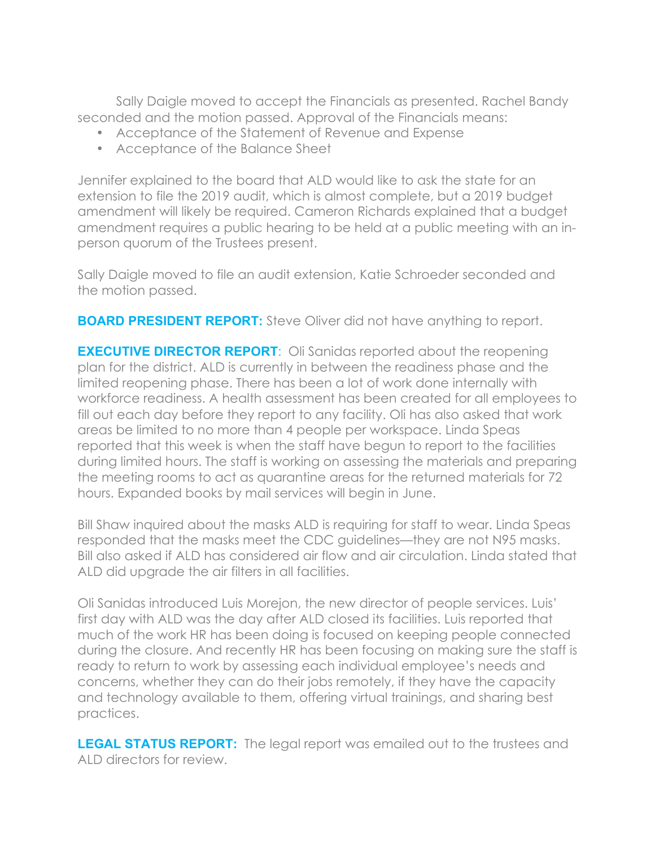Sally Daigle moved to accept the Financials as presented. Rachel Bandy seconded and the motion passed. Approval of the Financials means:

- Acceptance of the Statement of Revenue and Expense
- Acceptance of the Balance Sheet

Jennifer explained to the board that ALD would like to ask the state for an extension to file the 2019 audit, which is almost complete, but a 2019 budget amendment will likely be required. Cameron Richards explained that a budget amendment requires a public hearing to be held at a public meeting with an inperson quorum of the Trustees present.

Sally Daigle moved to file an audit extension, Katie Schroeder seconded and the motion passed.

**BOARD PRESIDENT REPORT:** Steve Oliver did not have anything to report.

**EXECUTIVE DIRECTOR REPORT:** Oli Sanidas reported about the reopening plan for the district. ALD is currently in between the readiness phase and the limited reopening phase. There has been a lot of work done internally with workforce readiness. A health assessment has been created for all employees to fill out each day before they report to any facility. Oli has also asked that work areas be limited to no more than 4 people per workspace. Linda Speas reported that this week is when the staff have begun to report to the facilities during limited hours. The staff is working on assessing the materials and preparing the meeting rooms to act as quarantine areas for the returned materials for 72 hours. Expanded books by mail services will begin in June.

Bill Shaw inquired about the masks ALD is requiring for staff to wear. Linda Speas responded that the masks meet the CDC guidelines—they are not N95 masks. Bill also asked if ALD has considered air flow and air circulation. Linda stated that ALD did upgrade the air filters in all facilities.

Oli Sanidas introduced Luis Morejon, the new director of people services. Luis' first day with ALD was the day after ALD closed its facilities. Luis reported that much of the work HR has been doing is focused on keeping people connected during the closure. And recently HR has been focusing on making sure the staff is ready to return to work by assessing each individual employee's needs and concerns, whether they can do their jobs remotely, if they have the capacity and technology available to them, offering virtual trainings, and sharing best practices.

**LEGAL STATUS REPORT:** The legal report was emailed out to the trustees and ALD directors for review.